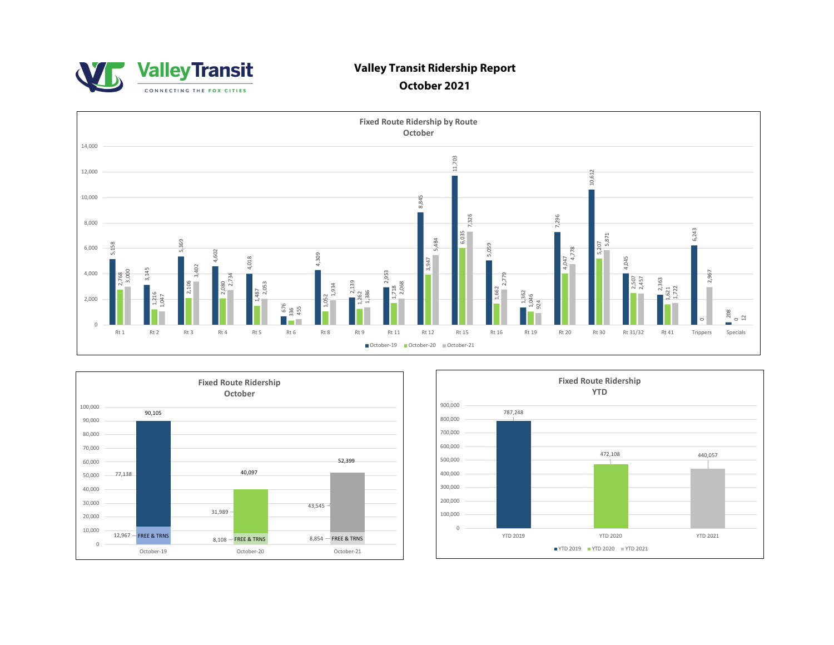

# **Valley Transit Ridership Report**

# **October 2021**





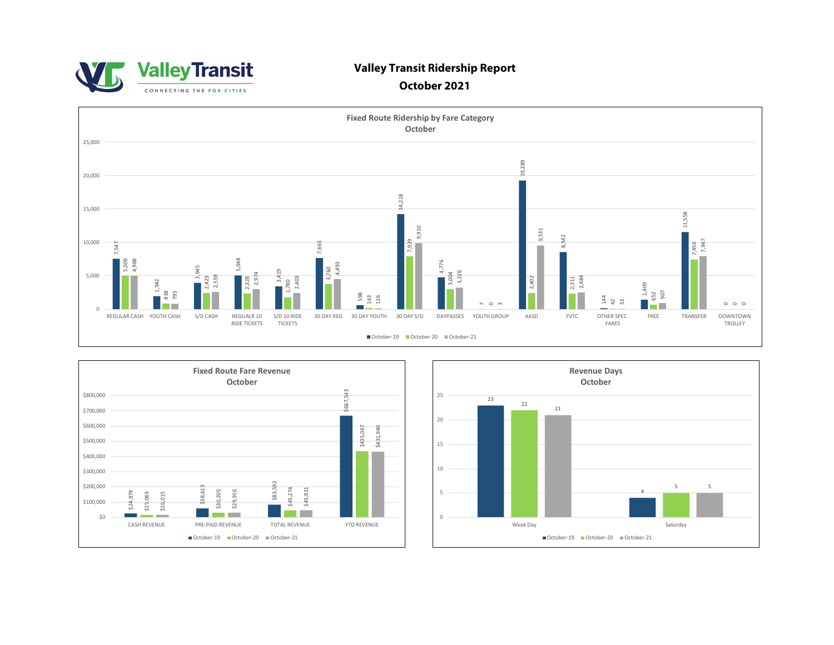

### **Valley Transit Ridership Report**

#### **October 2021**